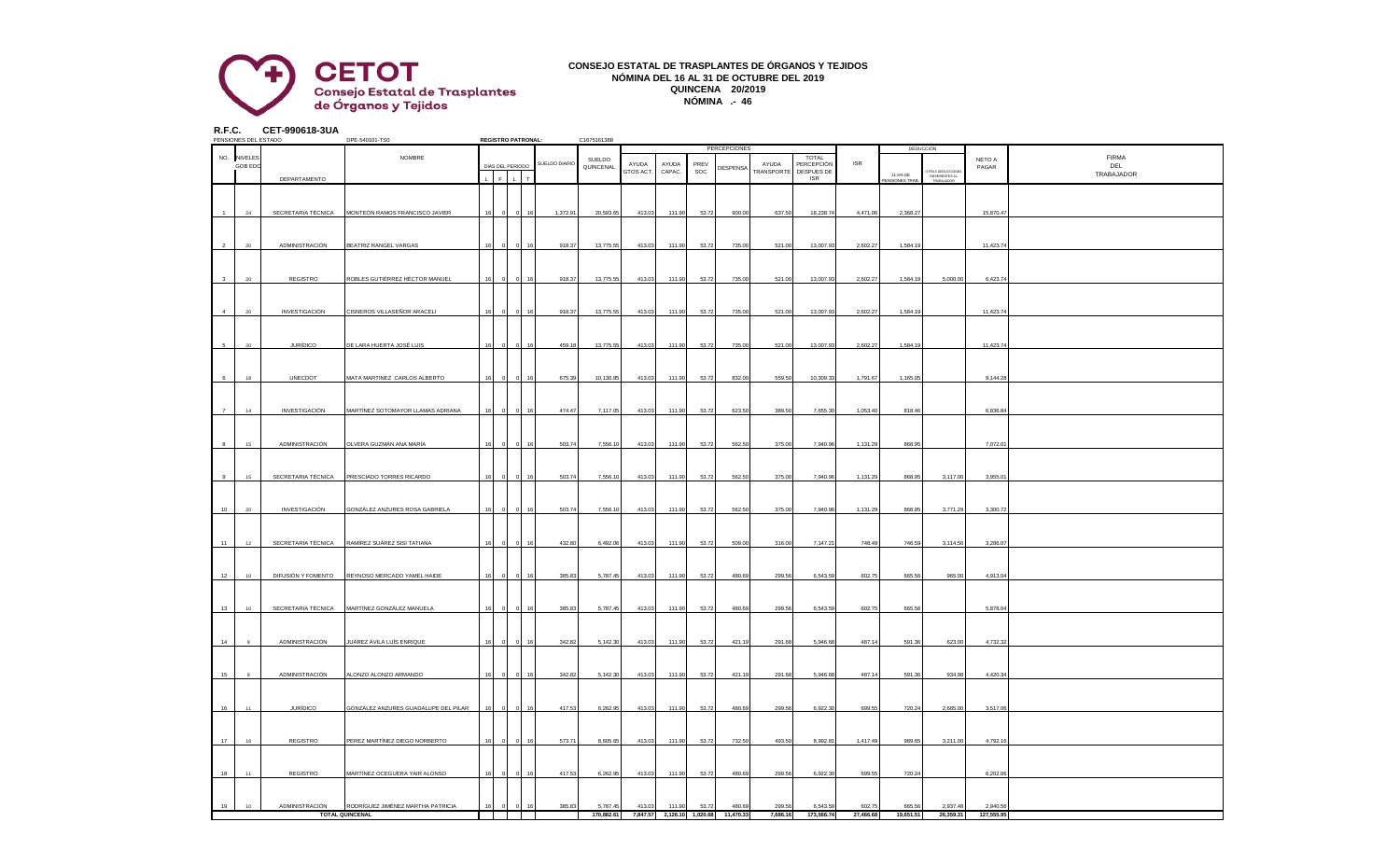

## **CONSEJO ESTATAL DE TRASPLANTES DE ÓRGANOS Y TEJIDOS NÓMINA DEL 16 AL 31 DE OCTUBRE DEL 2019 QUINCENA 20/2019 NÓMINA .- 46**

**R.F.C. CET-990618-3UA**

|    | PENSIONES DEL ESTADO |                      | DPE-540101-TS0                       |    |                      | <b>REGISTRO PATRONAL:</b> |               | C1675161388 |                    |                            |             |              |                                   |                          |            |                                  |                                                 |            |              |
|----|----------------------|----------------------|--------------------------------------|----|----------------------|---------------------------|---------------|-------------|--------------------|----------------------------|-------------|--------------|-----------------------------------|--------------------------|------------|----------------------------------|-------------------------------------------------|------------|--------------|
|    |                      |                      |                                      |    |                      |                           |               |             |                    |                            |             | PERCEPCIONES |                                   |                          |            |                                  | DEDUCCIÓN                                       |            |              |
|    | NO. NIVELES          |                      | NOMBRE                               |    |                      |                           |               | SUELDO      |                    |                            |             |              |                                   | <b>TOTAL</b>             | <b>ISR</b> |                                  |                                                 | NETO A     | <b>FIRMA</b> |
|    | <b>GOB EDO</b>       |                      |                                      |    | DÍAS DEL PERIODO     |                           | SUELDO DIARIO | QUINCENAL   | AYUDA<br>GTOS ACT. | AYUDA<br>CAPAC.            | PREV<br>SOC | DESPENSA     | AYUDA<br><b><i>FRANSPORTE</i></b> | PERCEPCIÓN<br>DESPUES DE |            |                                  |                                                 | PAGAR      | DEL          |
|    |                      | DEPARTAMENTO         |                                      |    | $\mathsf{F}^{\perp}$ | $\mathbf{L}$              |               |             |                    |                            |             |              |                                   | <b>ISR</b>               |            | 11.5% DE<br><b>ENSIONES TRAB</b> | TRAS DEDUCCIONE<br>INEHERENTES AL<br>TRABAJADOR |            | TRABAJADOR   |
|    |                      |                      |                                      |    |                      |                           |               |             |                    |                            |             |              |                                   |                          |            |                                  |                                                 |            |              |
|    |                      |                      |                                      |    |                      |                           |               |             |                    |                            |             |              |                                   |                          |            |                                  |                                                 |            |              |
|    |                      |                      |                                      |    |                      |                           |               |             |                    |                            |             |              |                                   |                          |            |                                  |                                                 |            |              |
|    | 24                   | SECRETARIA TÉCNICA   | MONTEÓN RAMOS FRANCISCO JAVIER       |    |                      |                           | 1,372.91      | 20,593.65   | 413.03             | 111.90                     | 53.72       | 900.00       | 637.50                            | 18,238.74                | 4,471.06   | 2,368.27                         |                                                 | 15,870.47  |              |
|    |                      |                      |                                      |    |                      |                           |               |             |                    |                            |             |              |                                   |                          |            |                                  |                                                 |            |              |
|    |                      |                      |                                      |    |                      |                           |               |             |                    |                            |             |              |                                   |                          |            |                                  |                                                 |            |              |
|    |                      |                      |                                      |    |                      |                           |               |             |                    |                            |             |              |                                   |                          |            |                                  |                                                 |            |              |
|    |                      |                      |                                      |    |                      |                           |               |             |                    |                            |             |              |                                   |                          |            |                                  |                                                 |            |              |
|    | 20                   | ADMINISTRACIÓN       | BEATRIZ RANGEL VARGAS                |    |                      |                           | 918.37        | 13,775.55   | 413.03             | 111.90                     | 53.72       | 735.00       | 521.00                            | 13,007.93                | 2,602.27   | 1,584.1                          |                                                 | 11,423.74  |              |
|    |                      |                      |                                      |    |                      |                           |               |             |                    |                            |             |              |                                   |                          |            |                                  |                                                 |            |              |
|    |                      |                      |                                      |    |                      |                           |               |             |                    |                            |             |              |                                   |                          |            |                                  |                                                 |            |              |
|    |                      |                      |                                      |    |                      |                           |               |             |                    |                            |             |              |                                   |                          |            |                                  |                                                 |            |              |
|    | $20 -$               | REGISTRO             | ROBLES GUTIÉRREZ HÉCTOR MANUEL       |    |                      |                           | 918.37        | 13,775.55   | 413.03             | 111.90                     | 53.72       | 735.00       | 521.00                            | 13,007.93                | 2,602.27   | 1,584.19                         | 5,000.00                                        | 6,423.74   |              |
|    |                      |                      |                                      |    |                      |                           |               |             |                    |                            |             |              |                                   |                          |            |                                  |                                                 |            |              |
|    |                      |                      |                                      |    |                      |                           |               |             |                    |                            |             |              |                                   |                          |            |                                  |                                                 |            |              |
|    |                      |                      |                                      |    |                      |                           |               |             |                    |                            |             |              |                                   |                          |            |                                  |                                                 |            |              |
|    | $20\degree$          | INVESTIGACIÓN        | CISNEROS VILLASEÑOR ARACELI          |    |                      |                           | 918.37        | 13,775.55   | 413.03             | 111.90                     | 53.72       | 735.00       | 521.00                            | 13,007.93                | 2,602.27   | 1,584.19                         |                                                 | 11,423.74  |              |
|    |                      |                      |                                      |    |                      |                           |               |             |                    |                            |             |              |                                   |                          |            |                                  |                                                 |            |              |
|    |                      |                      |                                      |    |                      |                           |               |             |                    |                            |             |              |                                   |                          |            |                                  |                                                 |            |              |
|    |                      |                      |                                      |    |                      |                           |               |             |                    |                            |             |              |                                   |                          |            |                                  |                                                 |            |              |
|    | $20 -$               | <b>JURÍDICO</b>      | DE LARA HUERTA JOSÉ LUIS             |    |                      |                           | 459.18        | 13,775.55   | 413.03             | 111.90                     | 53.72       | 735.00       | 521.00                            | 13,007.93                | 2,602.27   | 1,584.1                          |                                                 | 11,423.74  |              |
|    |                      |                      |                                      |    |                      |                           |               |             |                    |                            |             |              |                                   |                          |            |                                  |                                                 |            |              |
|    |                      |                      |                                      |    |                      |                           |               |             |                    |                            |             |              |                                   |                          |            |                                  |                                                 |            |              |
|    |                      |                      |                                      |    |                      |                           |               |             |                    |                            |             |              |                                   |                          |            |                                  |                                                 |            |              |
|    | 18                   | UNECDOT              | MATA MARTINEZ CARLOS ALBERTO         |    |                      |                           | 675.39        | 10,130.85   | 413.03             | 111.90                     | 53.72       | 832.00       | 559.50                            | 10,309.33                | 1,791.67   | 1,165.0                          |                                                 | 9,144.28   |              |
|    |                      |                      |                                      |    |                      |                           |               |             |                    |                            |             |              |                                   |                          |            |                                  |                                                 |            |              |
|    |                      |                      |                                      |    |                      |                           |               |             |                    |                            |             |              |                                   |                          |            |                                  |                                                 |            |              |
|    |                      |                      |                                      |    |                      |                           |               |             |                    |                            |             |              |                                   |                          |            |                                  |                                                 |            |              |
|    | 14                   | <b>INVESTIGACIÓN</b> | MARTÍNEZ SOTOMAYOR LLAMAS ADRIANA    | 16 |                      |                           | 474.47        | 7,117.05    | 413.03             | 111.90                     | 53.72       | 623.50       | 389.50                            | 7,655.30                 | 1,053.40   | 818.46                           |                                                 | 6,836.84   |              |
|    |                      |                      |                                      |    |                      |                           |               |             |                    |                            |             |              |                                   |                          |            |                                  |                                                 |            |              |
|    |                      |                      |                                      |    |                      |                           |               |             |                    |                            |             |              |                                   |                          |            |                                  |                                                 |            |              |
|    |                      |                      |                                      |    |                      |                           |               |             |                    |                            |             |              |                                   |                          |            |                                  |                                                 |            |              |
|    | 15                   | ADMINISTRACIÓN       | OLVERA GUZMÁN ANA MARÍA              |    |                      |                           | 503.74        | 7,556.10    | 413.03             | 111.90                     | 53.72       | 562.50       | 375.00                            | 7,940.96                 | 1,131.29   | 868.95                           |                                                 | 7,072.01   |              |
|    |                      |                      |                                      |    |                      |                           |               |             |                    |                            |             |              |                                   |                          |            |                                  |                                                 |            |              |
|    |                      |                      |                                      |    |                      |                           |               |             |                    |                            |             |              |                                   |                          |            |                                  |                                                 |            |              |
|    | 15                   | SECRETARIA TÉCNICA   |                                      |    |                      |                           | 503.74        | 7,556.10    | 413.03             | 111.90                     | 53.72       |              | 375.00                            | 7,940.96                 | 1,131.29   | 868.95                           | 3,117.00                                        | 3,955.0    |              |
|    |                      |                      | PRESCIADO TORRES RICARDO             |    |                      |                           |               |             |                    |                            |             | 562.50       |                                   |                          |            |                                  |                                                 |            |              |
|    |                      |                      |                                      |    |                      |                           |               |             |                    |                            |             |              |                                   |                          |            |                                  |                                                 |            |              |
|    |                      |                      |                                      |    |                      |                           |               |             |                    |                            |             |              |                                   |                          |            |                                  |                                                 |            |              |
|    |                      |                      |                                      |    |                      |                           |               |             |                    |                            |             |              |                                   |                          |            |                                  |                                                 |            |              |
| 10 | 20                   | INVESTIGACIÓN        | GONZÁLEZ ANZURES ROSA GABRIELA       |    |                      |                           | 503.74        | 7,556.10    | 413.03             | 111.90                     | 53.72       | 562.50       | 375.00                            | 7,940.96                 | 1,131.29   | 868.95                           | 3,771.29                                        | 3,300.72   |              |
|    |                      |                      |                                      |    |                      |                           |               |             |                    |                            |             |              |                                   |                          |            |                                  |                                                 |            |              |
|    |                      |                      |                                      |    |                      |                           |               |             |                    |                            |             |              |                                   |                          |            |                                  |                                                 |            |              |
| 11 | 12                   | SECRETARIA TÉCNICA   | RAMÍREZ SUÁREZ SISI TATIANA          |    |                      |                           | 432.80        | 6,492.06    | 413.03             | 111.90                     | 53.72       | 509.00       | 316.00                            | 7,147.21                 | 748.49     | 746.59                           | 3,114.56                                        | 3,286.07   |              |
|    |                      |                      |                                      |    |                      |                           |               |             |                    |                            |             |              |                                   |                          |            |                                  |                                                 |            |              |
|    |                      |                      |                                      |    |                      |                           |               |             |                    |                            |             |              |                                   |                          |            |                                  |                                                 |            |              |
|    |                      |                      |                                      |    |                      |                           |               |             |                    |                            |             |              |                                   |                          |            |                                  |                                                 |            |              |
| 12 | 10 <sup>1</sup>      | DIFUSIÓN Y FOMENTO   | REYNOSO MERCADO YAMEL HAIDE          |    |                      |                           | 385.83        | 5,787.45    | 413.03             | 111.90                     | 53.72       | 480.69       | 299.56                            | 6,543.59                 | 602.75     | 665.56                           | 965.00                                          | 4,913.04   |              |
|    |                      |                      |                                      |    |                      |                           |               |             |                    |                            |             |              |                                   |                          |            |                                  |                                                 |            |              |
|    |                      |                      |                                      |    |                      |                           |               |             |                    |                            |             |              |                                   |                          |            |                                  |                                                 |            |              |
|    |                      |                      |                                      |    |                      |                           |               |             |                    |                            |             |              |                                   |                          |            |                                  |                                                 |            |              |
| 13 | 10 <sup>10</sup>     | SECRETARIA TÉCNICA   | MARTÍNEZ GONZÁLEZ MANUELA            |    |                      |                           | 385.83        | 5,787.45    | 413.03             | 111.90                     | 53.72       | 480.69       | 299.56                            | 6,543.59                 | 602.75     | 665.56                           |                                                 | 5,878.04   |              |
|    |                      |                      |                                      |    |                      |                           |               |             |                    |                            |             |              |                                   |                          |            |                                  |                                                 |            |              |
|    |                      |                      |                                      |    |                      |                           |               |             |                    |                            |             |              |                                   |                          |            |                                  |                                                 |            |              |
|    |                      |                      |                                      |    |                      |                           |               |             |                    |                            |             |              |                                   |                          |            |                                  |                                                 |            |              |
| 14 |                      | ADMINISTRACIÓN       | IUÁREZ ÁVILA LUÍS ENRIQUE            |    |                      |                           | 342.82        | 5,142.30    | 413.03             | 111.90                     | 53.72       | 421.19       | 291.68                            | 5,946.68                 | 487.14     | 591.36                           | 623.00                                          | 4,732.32   |              |
|    |                      |                      |                                      |    |                      |                           |               |             |                    |                            |             |              |                                   |                          |            |                                  |                                                 |            |              |
|    |                      |                      |                                      |    |                      |                           |               |             |                    |                            |             |              |                                   |                          |            |                                  |                                                 |            |              |
|    |                      |                      |                                      |    |                      |                           |               |             |                    |                            |             |              |                                   |                          |            |                                  |                                                 |            |              |
| 15 | $_{9}$               | ADMINISTRACIÓN       | <b>LONZO ALONZO ARMANDO</b>          |    |                      |                           | 342.82        | 5,142.30    | 413.03             | 111.90                     | 53.72       | 421.19       | 291.68                            | 5,946.68                 | 487.14     | 591.36                           | 934.98                                          | 4,420.34   |              |
|    |                      |                      |                                      |    |                      |                           |               |             |                    |                            |             |              |                                   |                          |            |                                  |                                                 |            |              |
|    |                      |                      |                                      |    |                      |                           |               |             |                    |                            |             |              |                                   |                          |            |                                  |                                                 |            |              |
|    |                      |                      |                                      |    |                      |                           |               |             |                    |                            |             |              |                                   |                          |            |                                  |                                                 |            |              |
| 16 | 11                   | <b>JURÍDICO</b>      | SONZÁLEZ ANZURES GUADALUPE DEL PILAR |    |                      |                           | 417.53        | 6,262.95    | 413.03             | 111.90                     | 53.72       | 480.69       | 299.56                            | 6,922.30                 | 699.55     | 720.24                           | 2,685.00                                        | 3,517.06   |              |
|    |                      |                      |                                      |    |                      |                           |               |             |                    |                            |             |              |                                   |                          |            |                                  |                                                 |            |              |
|    |                      |                      |                                      |    |                      |                           |               |             |                    |                            |             |              |                                   |                          |            |                                  |                                                 |            |              |
|    |                      |                      |                                      |    |                      |                           |               |             |                    |                            |             |              |                                   |                          |            |                                  |                                                 |            |              |
| 17 | 16                   | REGISTRO             | PEREZ MARTÍNEZ DIEGO NORBERTO        |    |                      |                           | 573.71        | 8,605.65    | 413.03             | 111.90                     | 53.72       | 732.50       | 493.50                            | 8,992.8                  | 1,417.49   | 989.6                            | 3,211.00                                        | 4,792.1    |              |
|    |                      |                      |                                      |    |                      |                           |               |             |                    |                            |             |              |                                   |                          |            |                                  |                                                 |            |              |
|    |                      |                      |                                      |    |                      |                           |               |             |                    |                            |             |              |                                   |                          |            |                                  |                                                 |            |              |
|    |                      |                      |                                      |    |                      |                           |               |             |                    |                            |             |              |                                   |                          |            |                                  |                                                 |            |              |
| 18 | 11                   | REGISTRO             | MARTÍNEZ OCEGUERA YAIR ALONSO        | 16 |                      |                           | 417.53        | 6,262.95    | 413.03             | 111.90                     | 53.72       | 480.69       | 299.56                            | 6,922.30                 | 699.55     | 720.24                           |                                                 | 6,202.06   |              |
|    |                      |                      |                                      |    |                      |                           |               |             |                    |                            |             |              |                                   |                          |            |                                  |                                                 |            |              |
|    |                      |                      |                                      |    |                      |                           |               |             |                    |                            |             |              |                                   |                          |            |                                  |                                                 |            |              |
|    |                      |                      |                                      |    |                      |                           |               |             |                    |                            |             |              |                                   |                          |            |                                  |                                                 |            |              |
| 19 | 10                   | ADMINISTRACIÓN       | RODRÍGUEZ JIMÉNEZ MARTHA PATRICIA    |    |                      |                           | 385.83        | 5,787.45    | 413.03             | 111.90                     | 53.72       | 480.69       | 299.56                            | 6,543.59                 | 602.75     | 665.56                           | 2,937.48                                        | 2.940.56   |              |
|    |                      |                      | <b>TOTAL QUINCENAL</b>               |    |                      |                           |               | 170.882.61  |                    | 7.847.57 2.126.10 1.020.68 |             | 11.470.33    | 7.686.16                          | 173,566,74               | 27,466,68  | 19.651.51                        | 26,359.31                                       | 127.555.95 |              |